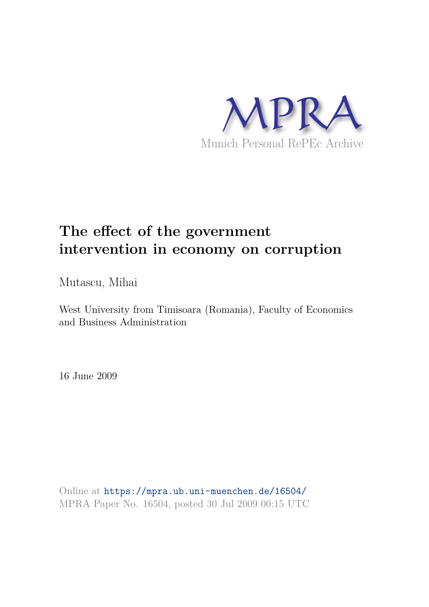

# **The effect of the government intervention in economy on corruption**

Mutascu, Mihai

West University from Timisoara (Romania), Faculty of Economics and Business Administration

16 June 2009

Online at https://mpra.ub.uni-muenchen.de/16504/ MPRA Paper No. 16504, posted 30 Jul 2009 00:15 UTC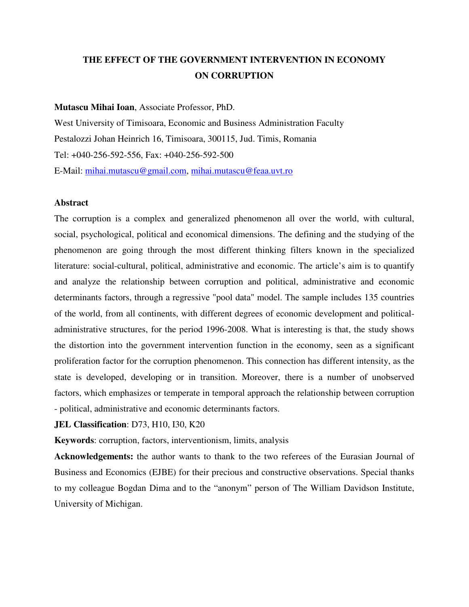### **THE EFFECT OF THE GOVERNMENT INTERVENTION IN ECONOMY ON CORRUPTION**

**Mutascu Mihai Ioan**, Associate Professor, PhD.

West University of Timisoara, Economic and Business Administration Faculty Pestalozzi Johan Heinrich 16, Timisoara, 300115, Jud. Timis, Romania Tel: +040-256-592-556, Fax: +040-256-592-500 E-Mail: mihai.mutascu@gmail.com, mihai.mutascu@feaa.uvt.ro

#### **Abstract**

The corruption is a complex and generalized phenomenon all over the world, with cultural, social, psychological, political and economical dimensions. The defining and the studying of the phenomenon are going through the most different thinking filters known in the specialized literature: social-cultural, political, administrative and economic. The article's aim is to quantify and analyze the relationship between corruption and political, administrative and economic determinants factors, through a regressive "pool data" model. The sample includes 135 countries of the world, from all continents, with different degrees of economic development and politicaladministrative structures, for the period 1996-2008. What is interesting is that, the study shows the distortion into the government intervention function in the economy, seen as a significant proliferation factor for the corruption phenomenon. This connection has different intensity, as the state is developed, developing or in transition. Moreover, there is a number of unobserved factors, which emphasizes or temperate in temporal approach the relationship between corruption - political, administrative and economic determinants factors.

**JEL Classification**: D73, H10, I30, K20

**Keywords**: corruption, factors, interventionism, limits, analysis

**Acknowledgements:** the author wants to thank to the two referees of the Eurasian Journal of Business and Economics (EJBE) for their precious and constructive observations. Special thanks to my colleague Bogdan Dima and to the "anonym" person of The William Davidson Institute, University of Michigan.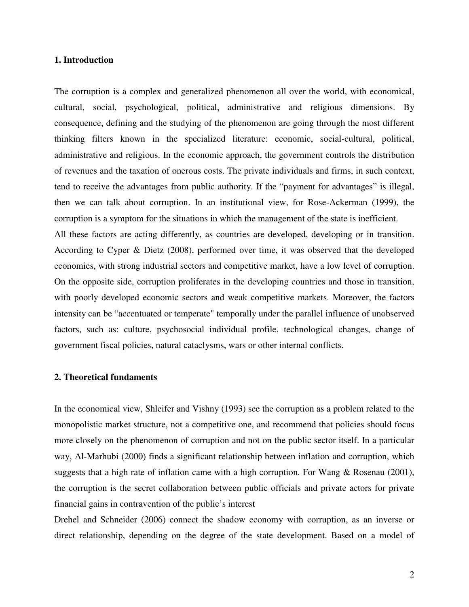#### **1. Introduction**

The corruption is a complex and generalized phenomenon all over the world, with economical, cultural, social, psychological, political, administrative and religious dimensions. By consequence, defining and the studying of the phenomenon are going through the most different thinking filters known in the specialized literature: economic, social-cultural, political, administrative and religious. In the economic approach, the government controls the distribution of revenues and the taxation of onerous costs. The private individuals and firms, in such context, tend to receive the advantages from public authority. If the "payment for advantages" is illegal, then we can talk about corruption. In an institutional view, for Rose-Ackerman (1999), the corruption is a symptom for the situations in which the management of the state is inefficient. All these factors are acting differently, as countries are developed, developing or in transition. According to Cyper & Dietz (2008), performed over time, it was observed that the developed economies, with strong industrial sectors and competitive market, have a low level of corruption. On the opposite side, corruption proliferates in the developing countries and those in transition, with poorly developed economic sectors and weak competitive markets. Moreover, the factors intensity can be "accentuated or temperate" temporally under the parallel influence of unobserved factors, such as: culture, psychosocial individual profile, technological changes, change of government fiscal policies, natural cataclysms, wars or other internal conflicts.

#### **2. Theoretical fundaments**

In the economical view, Shleifer and Vishny (1993) see the corruption as a problem related to the monopolistic market structure, not a competitive one, and recommend that policies should focus more closely on the phenomenon of corruption and not on the public sector itself. In a particular way, Al-Marhubi (2000) finds a significant relationship between inflation and corruption, which suggests that a high rate of inflation came with a high corruption. For Wang & Rosenau (2001), the corruption is the secret collaboration between public officials and private actors for private financial gains in contravention of the public's interest

Drehel and Schneider (2006) connect the shadow economy with corruption, as an inverse or direct relationship, depending on the degree of the state development. Based on a model of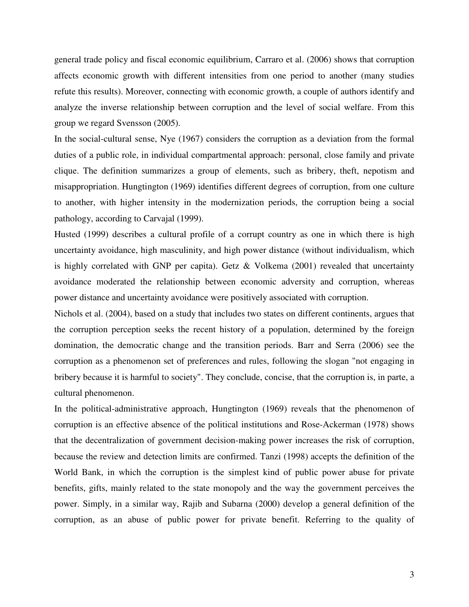general trade policy and fiscal economic equilibrium, Carraro et al. (2006) shows that corruption affects economic growth with different intensities from one period to another (many studies refute this results). Moreover, connecting with economic growth, a couple of authors identify and analyze the inverse relationship between corruption and the level of social welfare. From this group we regard Svensson (2005).

In the social-cultural sense, Nye (1967) considers the corruption as a deviation from the formal duties of a public role, in individual compartmental approach: personal, close family and private clique. The definition summarizes a group of elements, such as bribery, theft, nepotism and misappropriation. Hungtington (1969) identifies different degrees of corruption, from one culture to another, with higher intensity in the modernization periods, the corruption being a social pathology, according to Carvajal (1999).

Husted (1999) describes a cultural profile of a corrupt country as one in which there is high uncertainty avoidance, high masculinity, and high power distance (without individualism, which is highly correlated with GNP per capita). Getz  $&$  Volkema (2001) revealed that uncertainty avoidance moderated the relationship between economic adversity and corruption, whereas power distance and uncertainty avoidance were positively associated with corruption.

Nichols et al. (2004), based on a study that includes two states on different continents, argues that the corruption perception seeks the recent history of a population, determined by the foreign domination, the democratic change and the transition periods. Barr and Serra (2006) see the corruption as a phenomenon set of preferences and rules, following the slogan "not engaging in bribery because it is harmful to society". They conclude, concise, that the corruption is, in parte, a cultural phenomenon.

In the political-administrative approach, Hungtington (1969) reveals that the phenomenon of corruption is an effective absence of the political institutions and Rose-Ackerman (1978) shows that the decentralization of government decision-making power increases the risk of corruption, because the review and detection limits are confirmed. Tanzi (1998) accepts the definition of the World Bank, in which the corruption is the simplest kind of public power abuse for private benefits, gifts, mainly related to the state monopoly and the way the government perceives the power. Simply, in a similar way, Rajib and Subarna (2000) develop a general definition of the corruption, as an abuse of public power for private benefit. Referring to the quality of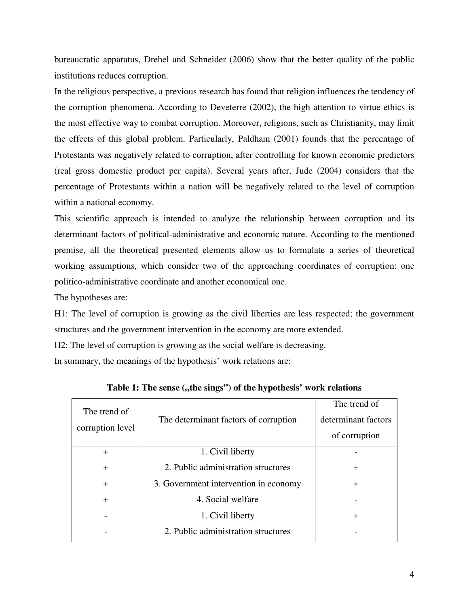bureaucratic apparatus, Drehel and Schneider (2006) show that the better quality of the public institutions reduces corruption.

In the religious perspective, a previous research has found that religion influences the tendency of the corruption phenomena. According to Deveterre (2002), the high attention to virtue ethics is the most effective way to combat corruption. Moreover, religions, such as Christianity, may limit the effects of this global problem. Particularly, Paldham (2001) founds that the percentage of Protestants was negatively related to corruption, after controlling for known economic predictors (real gross domestic product per capita). Several years after, Jude (2004) considers that the percentage of Protestants within a nation will be negatively related to the level of corruption within a national economy.

This scientific approach is intended to analyze the relationship between corruption and its determinant factors of political-administrative and economic nature. According to the mentioned premise, all the theoretical presented elements allow us to formulate a series of theoretical working assumptions, which consider two of the approaching coordinates of corruption: one politico-administrative coordinate and another economical one.

The hypotheses are:

H1: The level of corruption is growing as the civil liberties are less respected; the government structures and the government intervention in the economy are more extended.

H2: The level of corruption is growing as the social welfare is decreasing.

In summary, the meanings of the hypothesis' work relations are:

| The trend of     |                                       | The trend of        |
|------------------|---------------------------------------|---------------------|
|                  | The determinant factors of corruption | determinant factors |
| corruption level |                                       | of corruption       |
| $+$              | 1. Civil liberty                      |                     |
| $\div$           | 2. Public administration structures   | $\div$              |
| $+$              | 3. Government intervention in economy |                     |
| $\div$           | 4. Social welfare                     |                     |
|                  | 1. Civil liberty                      | $\div$              |
|                  | 2. Public administration structures   |                     |

Table 1: The sense ("the sings") of the hypothesis' work relations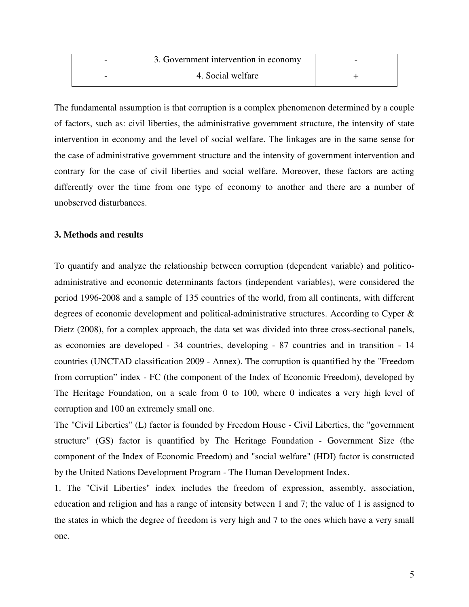| 3. Government intervention in economy |  |
|---------------------------------------|--|
| 4. Social welfare                     |  |

The fundamental assumption is that corruption is a complex phenomenon determined by a couple of factors, such as: civil liberties, the administrative government structure, the intensity of state intervention in economy and the level of social welfare. The linkages are in the same sense for the case of administrative government structure and the intensity of government intervention and contrary for the case of civil liberties and social welfare. Moreover, these factors are acting differently over the time from one type of economy to another and there are a number of unobserved disturbances.

#### **3. Methods and results**

To quantify and analyze the relationship between corruption (dependent variable) and politicoadministrative and economic determinants factors (independent variables), were considered the period 1996-2008 and a sample of 135 countries of the world, from all continents, with different degrees of economic development and political-administrative structures. According to Cyper & Dietz (2008), for a complex approach, the data set was divided into three cross-sectional panels, as economies are developed - 34 countries, developing - 87 countries and in transition - 14 countries (UNCTAD classification 2009 - Annex). The corruption is quantified by the "Freedom from corruption" index - FC (the component of the Index of Economic Freedom), developed by The Heritage Foundation, on a scale from 0 to 100, where 0 indicates a very high level of corruption and 100 an extremely small one.

The "Civil Liberties" (L) factor is founded by Freedom House - Civil Liberties, the "government structure" (GS) factor is quantified by The Heritage Foundation - Government Size (the component of the Index of Economic Freedom) and "social welfare" (HDI) factor is constructed by the United Nations Development Program - The Human Development Index.

1. The "Civil Liberties" index includes the freedom of expression, assembly, association, education and religion and has a range of intensity between 1 and 7; the value of 1 is assigned to the states in which the degree of freedom is very high and 7 to the ones which have a very small one.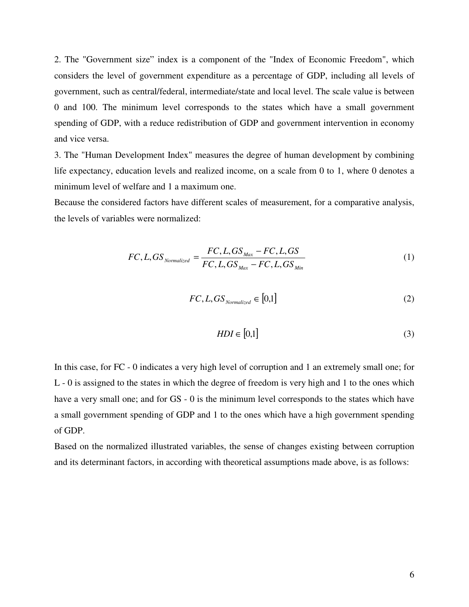2. The "Government size" index is a component of the "Index of Economic Freedom", which considers the level of government expenditure as a percentage of GDP, including all levels of government, such as central/federal, intermediate/state and local level. The scale value is between 0 and 100. The minimum level corresponds to the states which have a small government spending of GDP, with a reduce redistribution of GDP and government intervention in economy and vice versa.

3. The "Human Development Index" measures the degree of human development by combining life expectancy, education levels and realized income, on a scale from 0 to 1, where 0 denotes a minimum level of welfare and 1 a maximum one.

Because the considered factors have different scales of measurement, for a comparative analysis, the levels of variables were normalized:

$$
FC, L, GS_{Normalized} = \frac{FC, L, GS_{Max} - FC, L, GS}{FC, L, GS_{Max} - FC, L, GS_{Min}}
$$
\n(1)

$$
FC, L, GS_{\text{Normalized}} \in [0,1] \tag{2}
$$

$$
HDI \in [0,1] \tag{3}
$$

In this case, for FC - 0 indicates a very high level of corruption and 1 an extremely small one; for L - 0 is assigned to the states in which the degree of freedom is very high and 1 to the ones which have a very small one; and for GS - 0 is the minimum level corresponds to the states which have a small government spending of GDP and 1 to the ones which have a high government spending of GDP.

Based on the normalized illustrated variables, the sense of changes existing between corruption and its determinant factors, in according with theoretical assumptions made above, is as follows: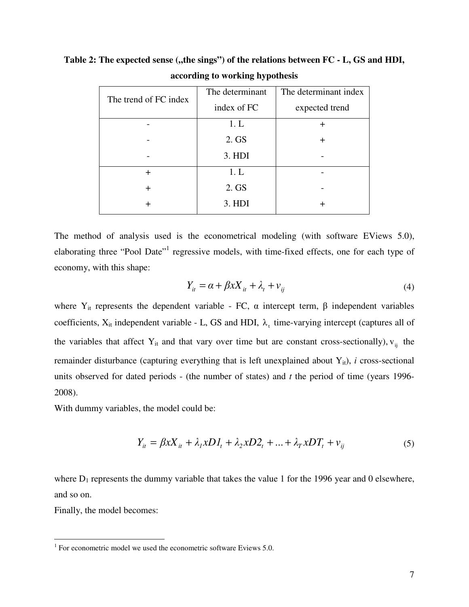| The trend of FC index | The determinant | The determinant index |
|-----------------------|-----------------|-----------------------|
|                       | index of FC     | expected trend        |
|                       | 1. L            | ┿                     |
|                       | 2. GS           | ┿                     |
|                       | 3. HDI          |                       |
| $\div$                | 1. L            |                       |
| +                     | 2. GS           |                       |
|                       | 3. HDI          |                       |
|                       |                 |                       |

Table 2: The expected sense ("the sings") of the relations between FC - L, GS and HDI, **according to working hypothesis** 

The method of analysis used is the econometrical modeling (with software EViews 5.0), elaborating three "Pool Date"<sup>1</sup> regressive models, with time-fixed effects, one for each type of economy, with this shape:

$$
Y_{it} = \alpha + \beta x X_{it} + \lambda_t + \nu_{ij}
$$
\n<sup>(4)</sup>

where  $Y_{it}$  represents the dependent variable - FC,  $\alpha$  intercept term,  $\beta$  independent variables coefficients,  $X_{it}$  independent variable - L, GS and HDI,  $\lambda_t$  time-varying intercept (captures all of the variables that affect  $Y_{it}$  and that vary over time but are constant cross-sectionally),  $V_{ij}$  the remainder disturbance (capturing everything that is left unexplained about  $Y_{it}$ ), *i* cross-sectional units observed for dated periods - (the number of states) and *t* the period of time (years 1996- 2008).

With dummy variables, the model could be:

$$
Y_{it} = \beta x X_{it} + \lambda_l x D I_t + \lambda_2 x D 2_t + \dots + \lambda_T x D T_t + v_{ij}
$$
(5)

where  $D_1$  represents the dummy variable that takes the value 1 for the 1996 year and 0 elsewhere, and so on.

Finally, the model becomes:

 1 For econometric model we used the econometric software Eviews 5.0.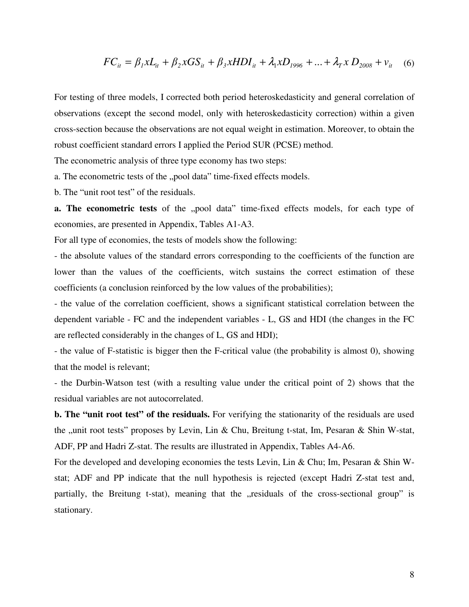$$
FC_{it} = \beta_1 x L_{it} + \beta_2 x GS_{it} + \beta_3 x HDI_{it} + \lambda_1 x D_{1996} + ... + \lambda_T x D_{2008} + v_{it} \quad (6)
$$

For testing of three models, I corrected both period heteroskedasticity and general correlation of observations (except the second model, only with heteroskedasticity correction) within a given cross-section because the observations are not equal weight in estimation. Moreover, to obtain the robust coefficient standard errors I applied the Period SUR (PCSE) method.

The econometric analysis of three type economy has two steps:

a. The econometric tests of the "pool data" time-fixed effects models.

b. The "unit root test" of the residuals.

**a. The econometric tests** of the "pool data" time-fixed effects models, for each type of economies, are presented in Appendix, Tables A1-A3.

For all type of economies, the tests of models show the following:

- the absolute values of the standard errors corresponding to the coefficients of the function are lower than the values of the coefficients, witch sustains the correct estimation of these coefficients (a conclusion reinforced by the low values of the probabilities);

- the value of the correlation coefficient, shows a significant statistical correlation between the dependent variable - FC and the independent variables - L, GS and HDI (the changes in the FC are reflected considerably in the changes of L, GS and HDI);

- the value of F-statistic is bigger then the F-critical value (the probability is almost 0), showing that the model is relevant;

- the Durbin-Watson test (with a resulting value under the critical point of 2) shows that the residual variables are not autocorrelated.

**b. The "unit root test" of the residuals.** For verifying the stationarity of the residuals are used the "unit root tests" proposes by Levin, Lin & Chu, Breitung t-stat, Im, Pesaran & Shin W-stat, ADF, PP and Hadri Z-stat. The results are illustrated in Appendix, Tables A4-A6.

For the developed and developing economies the tests Levin, Lin & Chu; Im, Pesaran & Shin Wstat; ADF and PP indicate that the null hypothesis is rejected (except Hadri Z-stat test and, partially, the Breitung t-stat), meaning that the "residuals of the cross-sectional group" is stationary.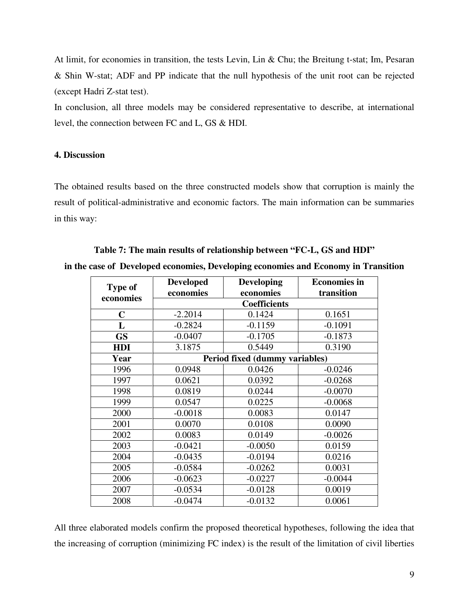At limit, for economies in transition, the tests Levin, Lin & Chu; the Breitung t-stat; Im, Pesaran & Shin W-stat; ADF and PP indicate that the null hypothesis of the unit root can be rejected (except Hadri Z-stat test).

In conclusion, all three models may be considered representative to describe, at international level, the connection between FC and L, GS & HDI.

#### **4. Discussion**

The obtained results based on the three constructed models show that corruption is mainly the result of political-administrative and economic factors. The main information can be summaries in this way:

### **Table 7: The main results of relationship between "FC-L, GS and HDI" in the case of Developed economies, Developing economies and Economy in Transition**

| <b>Type of</b> | <b>Developed</b> | <b>Developing</b>              | <b>Economies in</b> |
|----------------|------------------|--------------------------------|---------------------|
| economies      | economies        | economies                      | transition          |
|                |                  | <b>Coefficients</b>            |                     |
| $\mathbf C$    | $-2.2014$        | 0.1424                         | 0.1651              |
| L              | $-0.2824$        | $-0.1159$                      | $-0.1091$           |
| <b>GS</b>      | $-0.0407$        | $-0.1705$                      | $-0.1873$           |
| <b>HDI</b>     | 3.1875           | 0.5449                         | 0.3190              |
| Year           |                  | Period fixed (dummy variables) |                     |
| 1996           | 0.0948           | 0.0426                         | $-0.0246$           |
| 1997           | 0.0621           | 0.0392                         | $-0.0268$           |
| 1998           | 0.0819           | 0.0244                         | $-0.0070$           |
| 1999           | 0.0547           | 0.0225                         | $-0.0068$           |
| 2000           | $-0.0018$        | 0.0083                         | 0.0147              |
| 2001           | 0.0070           | 0.0108                         | 0.0090              |
| 2002           | 0.0083           | 0.0149                         | $-0.0026$           |
| 2003           | $-0.0421$        | $-0.0050$                      | 0.0159              |
| 2004           | $-0.0435$        | $-0.0194$                      | 0.0216              |
| 2005           | $-0.0584$        | $-0.0262$                      | 0.0031              |
| 2006           | $-0.0623$        | $-0.0227$                      | $-0.0044$           |
| 2007           | $-0.0534$        | $-0.0128$                      | 0.0019              |
| 2008           | $-0.0474$        | $-0.0132$                      | 0.0061              |

All three elaborated models confirm the proposed theoretical hypotheses, following the idea that the increasing of corruption (minimizing FC index) is the result of the limitation of civil liberties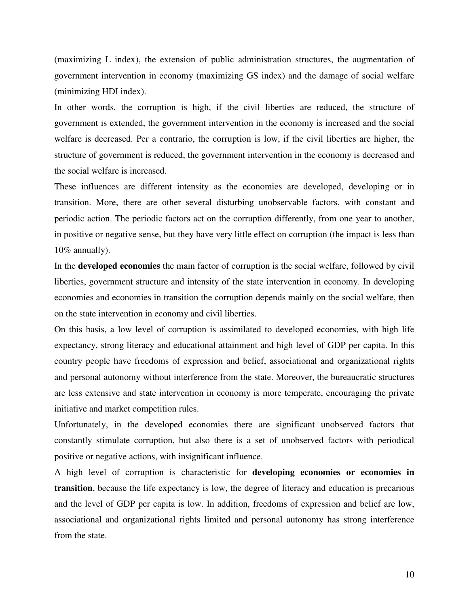(maximizing L index), the extension of public administration structures, the augmentation of government intervention in economy (maximizing GS index) and the damage of social welfare (minimizing HDI index).

In other words, the corruption is high, if the civil liberties are reduced, the structure of government is extended, the government intervention in the economy is increased and the social welfare is decreased. Per a contrario, the corruption is low, if the civil liberties are higher, the structure of government is reduced, the government intervention in the economy is decreased and the social welfare is increased.

These influences are different intensity as the economies are developed, developing or in transition. More, there are other several disturbing unobservable factors, with constant and periodic action. The periodic factors act on the corruption differently, from one year to another, in positive or negative sense, but they have very little effect on corruption (the impact is less than 10% annually).

In the **developed economies** the main factor of corruption is the social welfare, followed by civil liberties, government structure and intensity of the state intervention in economy. In developing economies and economies in transition the corruption depends mainly on the social welfare, then on the state intervention in economy and civil liberties.

On this basis, a low level of corruption is assimilated to developed economies, with high life expectancy, strong literacy and educational attainment and high level of GDP per capita. In this country people have freedoms of expression and belief, associational and organizational rights and personal autonomy without interference from the state. Moreover, the bureaucratic structures are less extensive and state intervention in economy is more temperate, encouraging the private initiative and market competition rules.

Unfortunately, in the developed economies there are significant unobserved factors that constantly stimulate corruption, but also there is a set of unobserved factors with periodical positive or negative actions, with insignificant influence.

A high level of corruption is characteristic for **developing economies or economies in transition**, because the life expectancy is low, the degree of literacy and education is precarious and the level of GDP per capita is low. In addition, freedoms of expression and belief are low, associational and organizational rights limited and personal autonomy has strong interference from the state.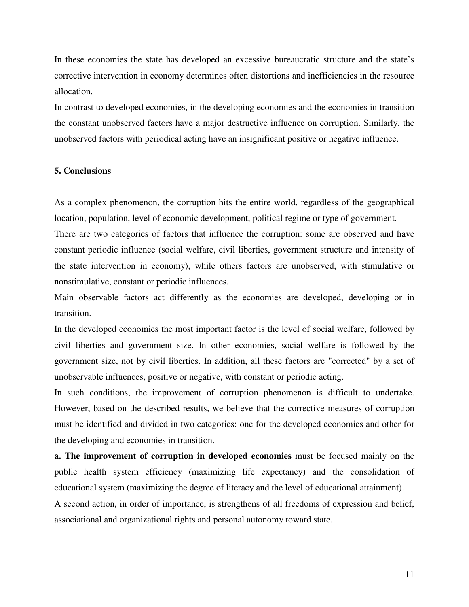In these economies the state has developed an excessive bureaucratic structure and the state's corrective intervention in economy determines often distortions and inefficiencies in the resource allocation.

In contrast to developed economies, in the developing economies and the economies in transition the constant unobserved factors have a major destructive influence on corruption. Similarly, the unobserved factors with periodical acting have an insignificant positive or negative influence.

#### **5. Conclusions**

As a complex phenomenon, the corruption hits the entire world, regardless of the geographical location, population, level of economic development, political regime or type of government.

There are two categories of factors that influence the corruption: some are observed and have constant periodic influence (social welfare, civil liberties, government structure and intensity of the state intervention in economy), while others factors are unobserved, with stimulative or nonstimulative, constant or periodic influences.

Main observable factors act differently as the economies are developed, developing or in transition.

In the developed economies the most important factor is the level of social welfare, followed by civil liberties and government size. In other economies, social welfare is followed by the government size, not by civil liberties. In addition, all these factors are "corrected" by a set of unobservable influences, positive or negative, with constant or periodic acting.

In such conditions, the improvement of corruption phenomenon is difficult to undertake. However, based on the described results, we believe that the corrective measures of corruption must be identified and divided in two categories: one for the developed economies and other for the developing and economies in transition.

**a. The improvement of corruption in developed economies** must be focused mainly on the public health system efficiency (maximizing life expectancy) and the consolidation of educational system (maximizing the degree of literacy and the level of educational attainment).

A second action, in order of importance, is strengthens of all freedoms of expression and belief, associational and organizational rights and personal autonomy toward state.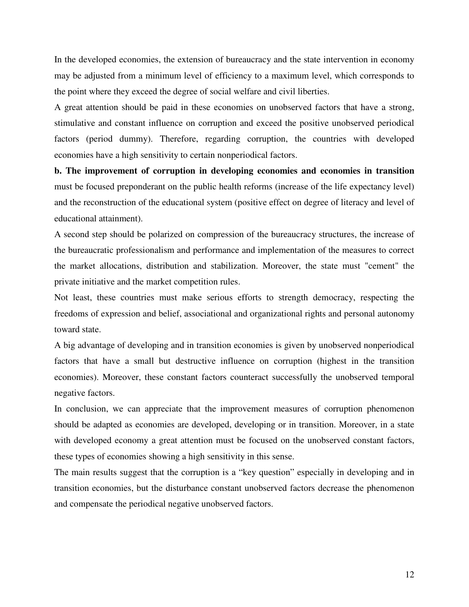In the developed economies, the extension of bureaucracy and the state intervention in economy may be adjusted from a minimum level of efficiency to a maximum level, which corresponds to the point where they exceed the degree of social welfare and civil liberties.

A great attention should be paid in these economies on unobserved factors that have a strong, stimulative and constant influence on corruption and exceed the positive unobserved periodical factors (period dummy). Therefore, regarding corruption, the countries with developed economies have a high sensitivity to certain nonperiodical factors.

**b. The improvement of corruption in developing economies and economies in transition**  must be focused preponderant on the public health reforms (increase of the life expectancy level) and the reconstruction of the educational system (positive effect on degree of literacy and level of educational attainment).

A second step should be polarized on compression of the bureaucracy structures, the increase of the bureaucratic professionalism and performance and implementation of the measures to correct the market allocations, distribution and stabilization. Moreover, the state must "cement" the private initiative and the market competition rules.

Not least, these countries must make serious efforts to strength democracy, respecting the freedoms of expression and belief, associational and organizational rights and personal autonomy toward state.

A big advantage of developing and in transition economies is given by unobserved nonperiodical factors that have a small but destructive influence on corruption (highest in the transition economies). Moreover, these constant factors counteract successfully the unobserved temporal negative factors.

In conclusion, we can appreciate that the improvement measures of corruption phenomenon should be adapted as economies are developed, developing or in transition. Moreover, in a state with developed economy a great attention must be focused on the unobserved constant factors, these types of economies showing a high sensitivity in this sense.

The main results suggest that the corruption is a "key question" especially in developing and in transition economies, but the disturbance constant unobserved factors decrease the phenomenon and compensate the periodical negative unobserved factors.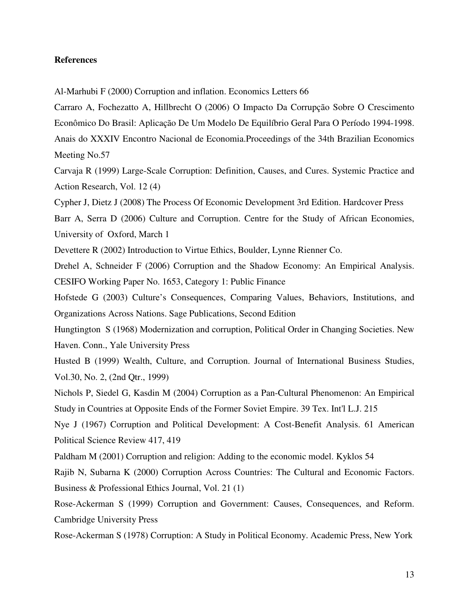#### **References**

Al-Marhubi F (2000) Corruption and inflation. Economics Letters 66

Carraro A, Fochezatto A, Hillbrecht O (2006) O Impacto Da Corrupção Sobre O Crescimento Econômico Do Brasil: Aplicação De Um Modelo De Equilíbrio Geral Para O Período 1994-1998. Anais do XXXIV Encontro Nacional de Economia.Proceedings of the 34th Brazilian Economics Meeting No.57

Carvaja R (1999) Large-Scale Corruption: Definition, Causes, and Cures. Systemic Practice and Action Research, Vol. 12 (4)

Cypher J, Dietz J (2008) The Process Of Economic Development 3rd Edition. Hardcover Press

Barr A, Serra D (2006) Culture and Corruption. Centre for the Study of African Economies, University of Oxford, March 1

Devettere R (2002) Introduction to Virtue Ethics, Boulder, Lynne Rienner Co.

Drehel A, Schneider F (2006) Corruption and the Shadow Economy: An Empirical Analysis. CESIFO Working Paper No. 1653, Category 1: Public Finance

Hofstede G (2003) Culture's Consequences, Comparing Values, Behaviors, Institutions, and Organizations Across Nations. Sage Publications, Second Edition

Hungtington S (1968) Modernization and corruption, Political Order in Changing Societies. New Haven. Conn., Yale University Press

Husted B (1999) Wealth, Culture, and Corruption. Journal of International Business Studies, Vol.30, No. 2, (2nd Qtr., 1999)

Nichols P, Siedel G, Kasdin M (2004) Corruption as a Pan-Cultural Phenomenon: An Empirical Study in Countries at Opposite Ends of the Former Soviet Empire. 39 Tex. Int'l L.J. 215

Nye J (1967) Corruption and Political Development: A Cost-Benefit Analysis. 61 American Political Science Review 417, 419

Paldham M (2001) Corruption and religion: Adding to the economic model. Kyklos 54

Rajib N, Subarna K (2000) Corruption Across Countries: The Cultural and Economic Factors. Business & Professional Ethics Journal, Vol. 21 (1)

Rose-Ackerman S (1999) Corruption and Government: Causes, Consequences, and Reform. Cambridge University Press

Rose-Ackerman S (1978) Corruption: A Study in Political Economy. Academic Press, New York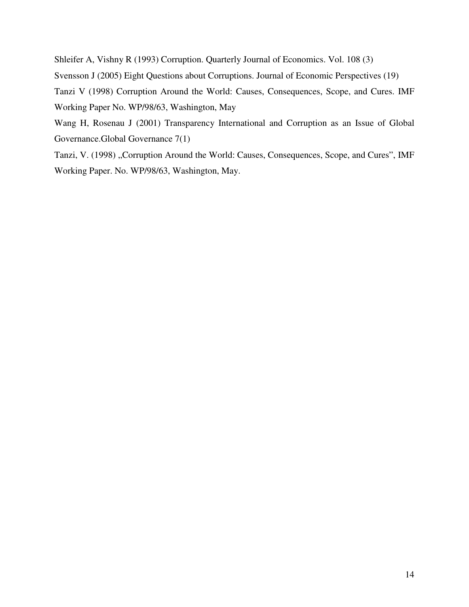Shleifer A, Vishny R (1993) Corruption. Quarterly Journal of Economics. Vol. 108 (3) Svensson J (2005) Eight Questions about Corruptions. Journal of Economic Perspectives (19) Tanzi V (1998) Corruption Around the World: Causes, Consequences, Scope, and Cures. IMF Working Paper No. WP/98/63, Washington, May

Wang H, Rosenau J (2001) Transparency International and Corruption as an Issue of Global Governance.Global Governance 7(1)

Tanzi, V. (1998) "Corruption Around the World: Causes, Consequences, Scope, and Cures", IMF Working Paper. No. WP/98/63, Washington, May.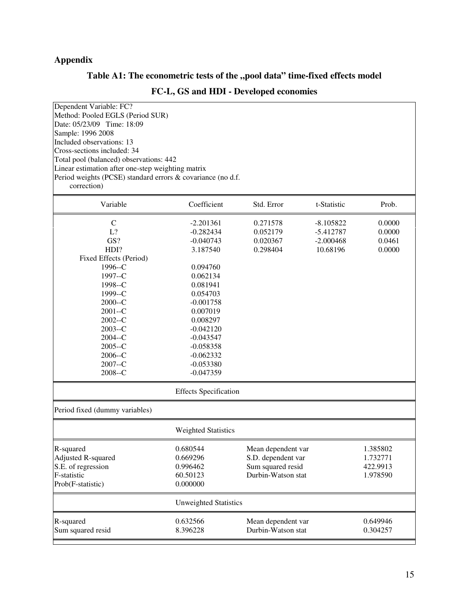### **Appendix**

### Table A1: The econometric tests of the "pool data" time-fixed effects model

### **FC-L, GS and HDI - Developed economies**

| Dependent Variable: FC?                                     |                              |                    |             |          |
|-------------------------------------------------------------|------------------------------|--------------------|-------------|----------|
| Method: Pooled EGLS (Period SUR)                            |                              |                    |             |          |
| Date: 05/23/09 Time: 18:09                                  |                              |                    |             |          |
| Sample: 1996 2008                                           |                              |                    |             |          |
|                                                             |                              |                    |             |          |
| Included observations: 13                                   |                              |                    |             |          |
| Cross-sections included: 34                                 |                              |                    |             |          |
| Total pool (balanced) observations: 442                     |                              |                    |             |          |
| Linear estimation after one-step weighting matrix           |                              |                    |             |          |
| Period weights (PCSE) standard errors & covariance (no d.f. |                              |                    |             |          |
| correction)                                                 |                              |                    |             |          |
| Variable                                                    | Coefficient                  | Std. Error         | t-Statistic | Prob.    |
| $\mathsf{C}$                                                | $-2.201361$                  | 0.271578           | $-8.105822$ | 0.0000   |
| L?                                                          | $-0.282434$                  | 0.052179           | $-5.412787$ | 0.0000   |
| GS?                                                         | $-0.040743$                  | 0.020367           | $-2.000468$ | 0.0461   |
| HDI?                                                        | 3.187540                     | 0.298404           | 10.68196    | 0.0000   |
| Fixed Effects (Period)                                      |                              |                    |             |          |
| 1996--C                                                     | 0.094760                     |                    |             |          |
| 1997--C                                                     | 0.062134                     |                    |             |          |
| 1998--C                                                     | 0.081941                     |                    |             |          |
| 1999--C                                                     | 0.054703                     |                    |             |          |
| $2000 - C$                                                  | $-0.001758$                  |                    |             |          |
| $2001 - C$                                                  | 0.007019                     |                    |             |          |
| $2002 - C$                                                  | 0.008297                     |                    |             |          |
| $2003 - C$                                                  | $-0.042120$                  |                    |             |          |
| $2004 - C$                                                  | $-0.043547$                  |                    |             |          |
| $2005 - C$                                                  | $-0.058358$                  |                    |             |          |
| $2006 - C$                                                  | $-0.062332$                  |                    |             |          |
| $2007 - C$                                                  | $-0.053380$                  |                    |             |          |
| $2008 - C$                                                  | $-0.047359$                  |                    |             |          |
|                                                             |                              |                    |             |          |
|                                                             | <b>Effects Specification</b> |                    |             |          |
| Period fixed (dummy variables)                              |                              |                    |             |          |
|                                                             | <b>Weighted Statistics</b>   |                    |             |          |
| R-squared                                                   | 0.680544                     | Mean dependent var |             | 1.385802 |
| Adjusted R-squared                                          | 0.669296                     | S.D. dependent var |             | 1.732771 |
| S.E. of regression                                          | 0.996462                     | Sum squared resid  |             | 422.9913 |
| F-statistic                                                 | 60.50123                     | Durbin-Watson stat |             | 1.978590 |
| Prob(F-statistic)                                           | 0.000000                     |                    |             |          |
|                                                             | <b>Unweighted Statistics</b> |                    |             |          |
| R-squared                                                   | 0.632566                     | Mean dependent var |             | 0.649946 |
| Sum squared resid                                           | 8.396228                     | Durbin-Watson stat |             | 0.304257 |
|                                                             |                              |                    |             |          |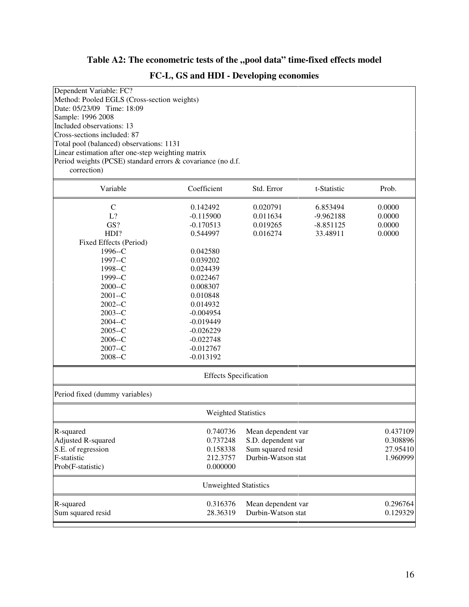### Table A2: The econometric tests of the "pool data" time-fixed effects model

### **FC-L, GS and HDI - Developing economies**

| Dependent Variable: FC?                                                                                          |                              |                    |             |          |
|------------------------------------------------------------------------------------------------------------------|------------------------------|--------------------|-------------|----------|
| Method: Pooled EGLS (Cross-section weights)<br>Date: 05/23/09 Time: 18:09                                        |                              |                    |             |          |
| Sample: 1996 2008                                                                                                |                              |                    |             |          |
| Included observations: 13                                                                                        |                              |                    |             |          |
| Cross-sections included: 87                                                                                      |                              |                    |             |          |
|                                                                                                                  |                              |                    |             |          |
| Total pool (balanced) observations: 1131                                                                         |                              |                    |             |          |
| Linear estimation after one-step weighting matrix<br>Period weights (PCSE) standard errors & covariance (no d.f. |                              |                    |             |          |
| correction)                                                                                                      |                              |                    |             |          |
|                                                                                                                  |                              |                    |             |          |
| Variable                                                                                                         | Coefficient                  | Std. Error         | t-Statistic | Prob.    |
| $\mathsf{C}$                                                                                                     | 0.142492                     | 0.020791           | 6.853494    | 0.0000   |
| L?                                                                                                               | $-0.115900$                  | 0.011634           | $-9.962188$ | 0.0000   |
| GS?                                                                                                              | $-0.170513$                  | 0.019265           | $-8.851125$ | 0.0000   |
| HDI?                                                                                                             | 0.544997                     | 0.016274           | 33.48911    | 0.0000   |
| Fixed Effects (Period)                                                                                           |                              |                    |             |          |
| 1996--C                                                                                                          | 0.042580                     |                    |             |          |
| 1997--C                                                                                                          | 0.039202                     |                    |             |          |
| 1998--C                                                                                                          | 0.024439                     |                    |             |          |
| 1999--C                                                                                                          | 0.022467                     |                    |             |          |
| $2000 - C$                                                                                                       | 0.008307                     |                    |             |          |
| $2001 - C$                                                                                                       | 0.010848                     |                    |             |          |
| $2002 - C$                                                                                                       | 0.014932                     |                    |             |          |
| $2003 - C$                                                                                                       | $-0.004954$                  |                    |             |          |
| $2004 - C$                                                                                                       | $-0.019449$                  |                    |             |          |
| $2005 - C$                                                                                                       | $-0.026229$                  |                    |             |          |
| 2006--C                                                                                                          | $-0.022748$                  |                    |             |          |
| 2007--C                                                                                                          | $-0.012767$                  |                    |             |          |
| $2008 - C$                                                                                                       | $-0.013192$                  |                    |             |          |
|                                                                                                                  | <b>Effects Specification</b> |                    |             |          |
| Period fixed (dummy variables)                                                                                   |                              |                    |             |          |
|                                                                                                                  | <b>Weighted Statistics</b>   |                    |             |          |
| R-squared                                                                                                        | 0.740736                     | Mean dependent var |             | 0.437109 |
| Adjusted R-squared                                                                                               | 0.737248                     | S.D. dependent var |             | 0.308896 |
| S.E. of regression                                                                                               | 0.158338                     | Sum squared resid  |             | 27.95410 |
| F-statistic                                                                                                      | 212.3757                     | Durbin-Watson stat |             | 1.960999 |
| Prob(F-statistic)                                                                                                | 0.000000                     |                    |             |          |
|                                                                                                                  | <b>Unweighted Statistics</b> |                    |             |          |
| R-squared                                                                                                        | 0.316376                     | Mean dependent var |             | 0.296764 |
| Sum squared resid                                                                                                | 28.36319                     | Durbin-Watson stat |             | 0.129329 |
|                                                                                                                  |                              |                    |             |          |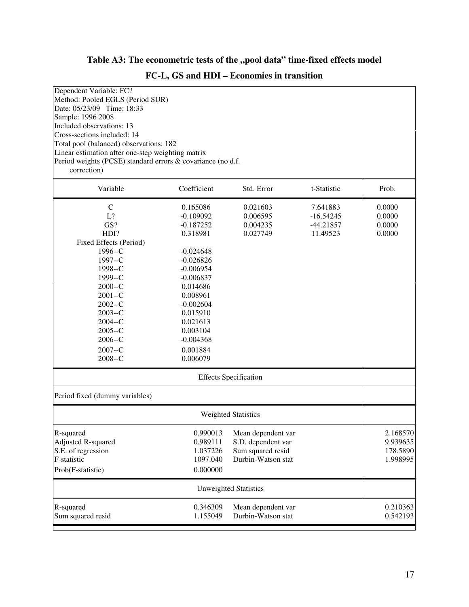# Table A3: The econometric tests of the "pool data" time-fixed effects model

|  |  |  |  |  |  |  |  | FC-L, GS and HDI – Economies in transition |  |
|--|--|--|--|--|--|--|--|--------------------------------------------|--|
|--|--|--|--|--|--|--|--|--------------------------------------------|--|

| Dependent Variable: FC?                                     |             |                              |             |          |
|-------------------------------------------------------------|-------------|------------------------------|-------------|----------|
| Method: Pooled EGLS (Period SUR)                            |             |                              |             |          |
| Date: 05/23/09 Time: 18:33                                  |             |                              |             |          |
| Sample: 1996 2008                                           |             |                              |             |          |
| Included observations: 13                                   |             |                              |             |          |
| Cross-sections included: 14                                 |             |                              |             |          |
| Total pool (balanced) observations: 182                     |             |                              |             |          |
| Linear estimation after one-step weighting matrix           |             |                              |             |          |
| Period weights (PCSE) standard errors & covariance (no d.f. |             |                              |             |          |
| correction)                                                 |             |                              |             |          |
| Variable                                                    | Coefficient | Std. Error                   | t-Statistic | Prob.    |
| $\mathcal{C}$                                               | 0.165086    | 0.021603                     | 7.641883    | 0.0000   |
| L?                                                          | $-0.109092$ | 0.006595                     | $-16.54245$ | 0.0000   |
| GS?                                                         | $-0.187252$ | 0.004235                     | $-44.21857$ | 0.0000   |
| HDI?                                                        | 0.318981    | 0.027749                     | 11.49523    | 0.0000   |
| Fixed Effects (Period)                                      |             |                              |             |          |
| 1996--C                                                     | $-0.024648$ |                              |             |          |
| 1997--C                                                     | $-0.026826$ |                              |             |          |
| 1998--C                                                     | $-0.006954$ |                              |             |          |
| 1999--C                                                     | $-0.006837$ |                              |             |          |
| $2000 - C$                                                  | 0.014686    |                              |             |          |
| $2001 - C$                                                  | 0.008961    |                              |             |          |
| $2002 - C$                                                  | $-0.002604$ |                              |             |          |
| $2003 - C$                                                  | 0.015910    |                              |             |          |
| $2004 - C$                                                  | 0.021613    |                              |             |          |
| $2005 - C$                                                  | 0.003104    |                              |             |          |
| $2006 - C$                                                  | $-0.004368$ |                              |             |          |
| $2007 - C$                                                  | 0.001884    |                              |             |          |
| $2008 - C$                                                  | 0.006079    |                              |             |          |
|                                                             |             | <b>Effects Specification</b> |             |          |
| Period fixed (dummy variables)                              |             |                              |             |          |
|                                                             |             | <b>Weighted Statistics</b>   |             |          |
| R-squared                                                   | 0.990013    | Mean dependent var           |             | 2.168570 |
| Adjusted R-squared                                          | 0.989111    | S.D. dependent var           |             | 9.939635 |
| S.E. of regression                                          | 1.037226    | Sum squared resid            |             | 178.5890 |
| F-statistic                                                 | 1097.040    | Durbin-Watson stat           |             | 1.998995 |
| Prob(F-statistic)                                           | 0.000000    |                              |             |          |
|                                                             |             | <b>Unweighted Statistics</b> |             |          |
| R-squared                                                   | 0.346309    | Mean dependent var           |             | 0.210363 |
| Sum squared resid                                           | 1.155049    | Durbin-Watson stat           |             | 0.542193 |
|                                                             |             |                              |             |          |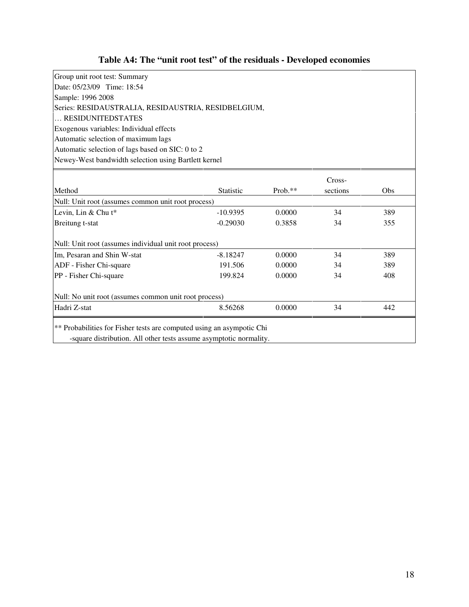# **Table A4: The "unit root test" of the residuals - Developed economies**

| Group unit root test: Summary                        |
|------------------------------------------------------|
| Date: 05/23/09 Time: 18:54                           |
| Sample: 1996 2008                                    |
| Series: RESIDAUSTRALIA, RESIDAUSTRIA, RESIDBELGIUM,  |
| RESIDUNITEDSTATES                                    |
| Exogenous variables: Individual effects              |
| Automatic selection of maximum lags                  |
| Automatic selection of lags based on SIC: 0 to 2     |
| Newey-West bandwidth selection using Bartlett kernel |

|                                                        |                  |           | Cross-   |     |
|--------------------------------------------------------|------------------|-----------|----------|-----|
| Method                                                 | <b>Statistic</b> | $Prob.**$ | sections | Obs |
| Null: Unit root (assumes common unit root process)     |                  |           |          |     |
| Levin, Lin & Chu $t^*$                                 | $-10.9395$       | 0.0000    | 34       | 389 |
| Breitung t-stat                                        | $-0.29030$       | 0.3858    | 34       | 355 |
| Null: Unit root (assumes individual unit root process) |                  |           |          |     |
| Im, Pesaran and Shin W-stat                            | $-8.18247$       | 0.0000    | 34       | 389 |
| ADF - Fisher Chi-square                                | 191.506          | 0.0000    | 34       | 389 |
| PP - Fisher Chi-square                                 | 199.824          | 0.0000    | 34       | 408 |
| Null: No unit root (assumes common unit root process)  |                  |           |          |     |
|                                                        | 8.56268          | 0.0000    | 34       | 442 |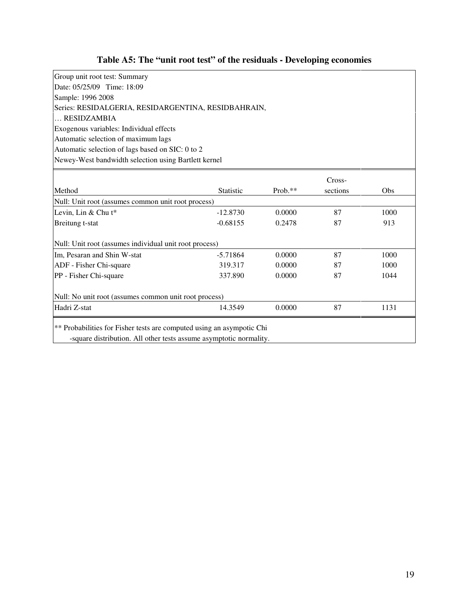# **Table A5: The "unit root test" of the residuals - Developing economies**

| Group unit root test: Summary                        |
|------------------------------------------------------|
| Date: 05/25/09 Time: 18:09                           |
| Sample: 1996 2008                                    |
| Series: RESIDALGERIA, RESIDARGENTINA, RESIDBAHRAIN,  |
| RESIDZAMBIA                                          |
| Exogenous variables: Individual effects              |
| Automatic selection of maximum lags                  |
| Automatic selection of lags based on SIC: 0 to 2     |
| Newey-West bandwidth selection using Bartlett kernel |
|                                                      |

|                                                        |                  |            | Cross-   |      |
|--------------------------------------------------------|------------------|------------|----------|------|
| Method                                                 | <b>Statistic</b> | Prob. $**$ | sections | Obs. |
| Null: Unit root (assumes common unit root process)     |                  |            |          |      |
| Levin, Lin & Chu t*                                    | $-12.8730$       | 0.0000     | 87       | 1000 |
| Breitung t-stat                                        | $-0.68155$       | 0.2478     | 87       | 913  |
| Null: Unit root (assumes individual unit root process) |                  |            |          |      |
| Im, Pesaran and Shin W-stat                            | $-5.71864$       | 0.0000     | 87       | 1000 |
| ADF - Fisher Chi-square                                | 319.317          | 0.0000     | 87       | 1000 |
| PP - Fisher Chi-square                                 | 337.890          | 0.0000     | 87       | 1044 |
| Null: No unit root (assumes common unit root process)  |                  |            |          |      |
| Hadri Z-stat                                           | 14.3549          | 0.0000     | 87       | 1131 |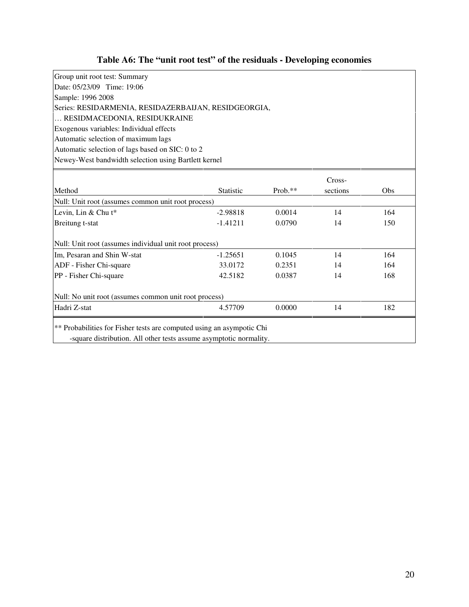# **Table A6: The "unit root test" of the residuals - Developing economies**

| Group unit root test: Summary                        |  |  |  |  |  |  |
|------------------------------------------------------|--|--|--|--|--|--|
| Date: 05/23/09 Time: 19:06                           |  |  |  |  |  |  |
| Sample: 1996 2008                                    |  |  |  |  |  |  |
| Series: RESIDARMENIA, RESIDAZERBAIJAN, RESIDGEORGIA, |  |  |  |  |  |  |
| RESIDMACEDONIA, RESIDUKRAINE                         |  |  |  |  |  |  |
| Exogenous variables: Individual effects              |  |  |  |  |  |  |
| Automatic selection of maximum lags                  |  |  |  |  |  |  |
| Automatic selection of lags based on SIC: 0 to 2     |  |  |  |  |  |  |
| Newey-West bandwidth selection using Bartlett kernel |  |  |  |  |  |  |

|                                                        | Cross-           |           |          |      |  |  |
|--------------------------------------------------------|------------------|-----------|----------|------|--|--|
| Method                                                 | <b>Statistic</b> | $Prob.**$ | sections | Obs. |  |  |
| Null: Unit root (assumes common unit root process)     |                  |           |          |      |  |  |
| Levin, Lin & Chu t*                                    | $-2.98818$       | 0.0014    | 14       | 164  |  |  |
| Breitung t-stat                                        | $-1.41211$       | 0.0790    | 14       | 150  |  |  |
| Null: Unit root (assumes individual unit root process) |                  |           |          |      |  |  |
| Im, Pesaran and Shin W-stat                            | $-1.25651$       | 0.1045    | 14       | 164  |  |  |
| ADF - Fisher Chi-square                                | 33.0172          | 0.2351    | 14       | 164  |  |  |
| PP - Fisher Chi-square                                 | 42.5182          | 0.0387    | 14       | 168  |  |  |
| Null: No unit root (assumes common unit root process)  |                  |           |          |      |  |  |
| Hadri Z-stat                                           | 4.57709          | 0.0000    | 14       | 182  |  |  |